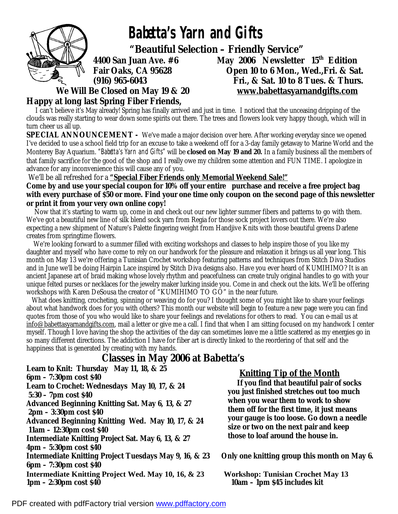

 **Babetta's Yarn and Gifts** 

 **"Beautiful Selection – Friendly Service"** 

**Happy at long last Spring Fiber Friends,** 

**4400 San Juan Ave. #6 May 2006 Newsletter 15th Edition Fair Oaks, CA 95628 Open 10 to 6 Mon., Wed.,Fri. & Sat. (916) 965-6043 Fri., & Sat. 10 to 8 Tues. & Thurs. We Will Be Closed on May 19 & 20 [www.babettasyarnandgifts.com](http://www.babettasyarnandgifts.com)**

I can't believe it's May already! Spring has finally arrived and just in time. I noticed that the unceasing dripping of the clouds was really starting to wear down some spirits out there. The trees and flowers look very happy though, which will in turn cheer us all up.

**SPECIAL ANNOUNCEMENT -** We've made a major decision over here. After working everyday since we opened I've decided to use a school field trip for an excuse to take a weekend off for a 3-day family getaway to Marine World and the Monterey Bay Aquarium. "Babetta's Yarn and Gifts" will be **closed on May 19 and 20.** In a family business all the members of that family sacrifice for the good of the shop and I really owe my children some attention and FUN TIME. I apologize in advance for any inconvenience this will cause any of you.

We'll be all refreshed for a **"Special Fiber Friends only Memorial Weekend Sale!"** 

Come by and use your special coupon for 10% off your entire purchase and receive a free project bag with every purchase of \$50 or more. Find your one time only coupon on the second page of this newsletter **or print it from your very own online copy!** 

Now that it's starting to warm up, come in and check out our new lighter summer fibers and patterns to go with them. We've got a beautiful new line of silk blend sock yarn from Regia for those sock project lovers out there. We're also expecting a new shipment of Nature's Palette fingering weight from Handjive Knits with those beautiful greens Darlene creates from springtime flowers.

We're looking forward to a summer filled with exciting workshops and classes to help inspire those of you like my daughter and myself who have come to rely on our handwork for the pleasure and relaxation it brings us all year long. This month on May 13 we're offering a Tunisian Crochet workshop featuring patterns and techniques from Stitch Diva Studios and in June we'll be doing Hairpin Lace inspired by Stitch Diva designs also. Have you ever heard of KUMIHIMO? It is an ancient Japanese art of braid making whose lovely rhythm and peacefulness can create truly original handles to go with your unique felted purses or necklaces for the jewelry maker lurking inside you. Come in and check out the kits. We'll be offering workshops with Karen DeSousa the creator of "KUMIHIMO TO GO" in the near future.

What does knitting, crocheting, spinning or weaving do for you? I thought some of you might like to share your feelings about what handwork does for you with others? This month our website will begin to feature a new page were you can find quotes from those of you who would like to share your feelings and revelations for others to read. You can e-mail us at [info@babettasyarnandgifts.com](mailto:info@babettasyarnandgifts.com), mail a letter or give me a call. I find that when I am sitting focused on my handwork I center myself. Though I love having the shop the activities of the day can sometimes leave me a little scattered as my energies go in so many different directions. The addiction I have for fiber art is directly linked to the reordering of that self and the happiness that is generated by creating with my hands.

## **Classes in May 2006 at Babetta's**

**Learn to Knit: Thursday May 11, 18, & 25 6pm – 7:30pm cost \$40 Learn to Crochet: Wednesdays May 10, 17, & 24 5:30 – 7pm cost \$40 Advanced Beginning Knitting Sat. May 6, 13, & 27 2pm – 3:30pm cost \$40 Advanced Beginning Knitting Wed. May 10, 17, & 24 11am – 12:30pm cost \$40 Intermediate Knitting Project Sat. May 6, 13, & 27 4pm – 5:30pm cost \$40 Intermediate Knitting Project Tuesdays May 9, 16, & 23 Only one knitting group this month on May 6. 6pm – 7:30pm cost \$40 Intermediate Knitting Project Wed. May 10, 16, & 23 Workshop: Tunisian Crochet May 13 1pm – 2:30pm cost \$40 10am – 1pm \$45 includes kit** 

## **Knitting Tip of the Month**

 **If you find that beautiful pair of socks you just finished stretches out too much when you wear them to work to show them off for the first time, it just means your gauge is too loose. Go down a needle size or two on the next pair and keep those to loaf around the house in.**